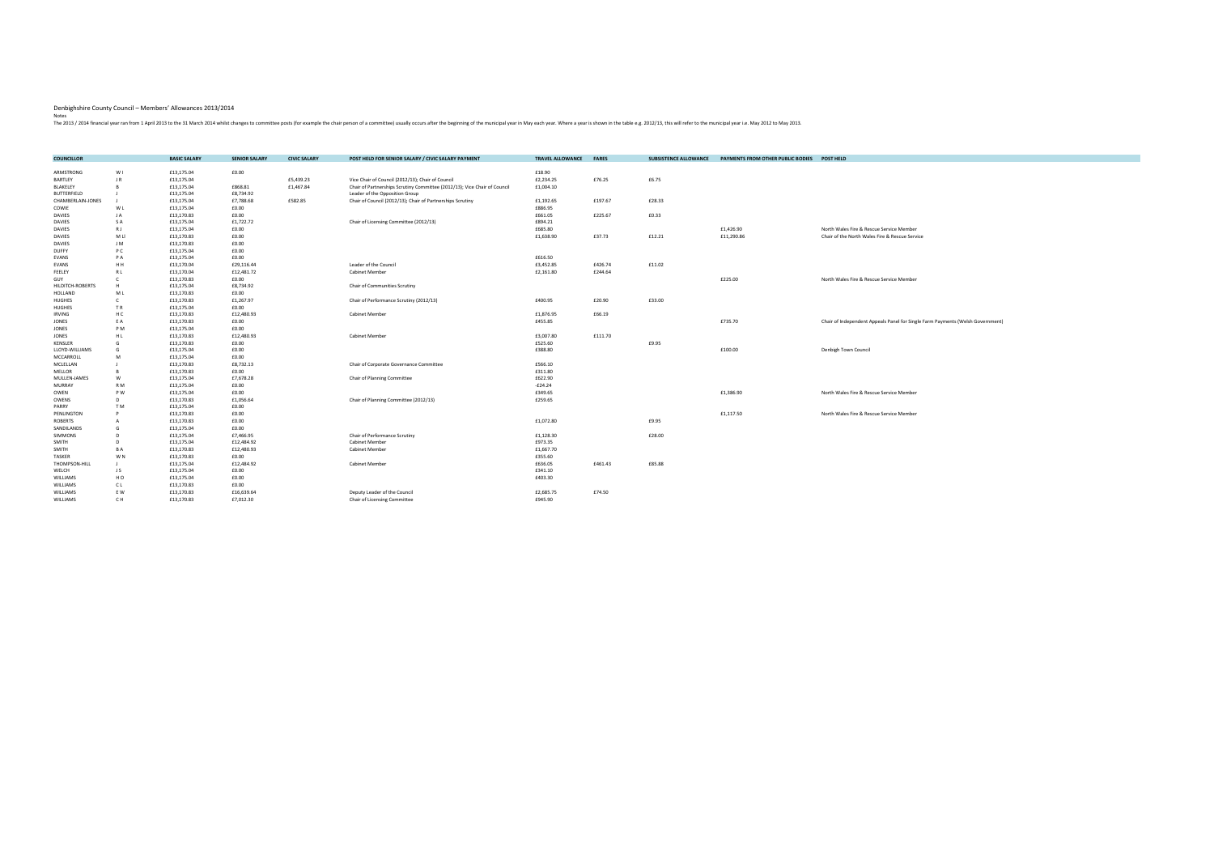| <b>COUNCILLOR</b>  |                | <b>BASIC SALARY</b> | <b>SENIOR SALARY</b> | <b>CIVIC SALARY</b> | POST HELD FOR SENIOR SALARY / CIVIC SALARY PAYMENT                        | <b>TRAVEL ALLOWANCE</b> | <b>FARES</b> | <b>SUBSISTENCE ALLOWANCE</b> | PAYMENTS FROM OTHER PUBLIC BODIES | POST HELD                                                                      |
|--------------------|----------------|---------------------|----------------------|---------------------|---------------------------------------------------------------------------|-------------------------|--------------|------------------------------|-----------------------------------|--------------------------------------------------------------------------------|
| ARMSTRONG          | W I            | £13,175.04          | £0.00                |                     |                                                                           | £18.90                  |              |                              |                                   |                                                                                |
| <b>BARTLEY</b>     | JR.            | £13,175.04          |                      | £5,439.23           | Vice Chair of Council (2012/13); Chair of Council                         | £2,234.25               | £76.25       | £6.75                        |                                   |                                                                                |
| BLAKELEY           |                | £13,175.04          | £868.81              | £1,467.84           | Chair of Partnerships Scrutiny Committee (2012/13); Vice Chair of Council | £1,004.10               |              |                              |                                   |                                                                                |
| <b>BUTTERFIELD</b> |                | £13,175.04          | £8,734.92            |                     | Leader of the Opposition Group                                            |                         |              |                              |                                   |                                                                                |
| CHAMBERLAIN-JONES  |                | £13,175.04          | £7,788.68            | £582.85             | Chair of Council (2012/13); Chair of Partnerships Scrutiny                | £1,192.65               | £197.67      | £28.33                       |                                   |                                                                                |
| COWIE              | W L            | £13,175.04          | £0.00                |                     |                                                                           | £886.95                 |              |                              |                                   |                                                                                |
| <b>DAVIES</b>      | JA             | £13,170.83          | £0.00                |                     |                                                                           | £661.05                 | £225.67      | £0.33                        |                                   |                                                                                |
| <b>DAVIES</b>      | S A            | £13,175.04          | £1,722.72            |                     | Chair of Licensing Committee (2012/13)                                    | £894.21                 |              |                              |                                   |                                                                                |
| <b>DAVIES</b>      | R J            | £13,175.04          | £0.00                |                     |                                                                           | £685.80                 |              |                              | £1,426.90                         | North Wales Fire & Rescue Service Member                                       |
| <b>DAVIES</b>      | M LI           | £13,170.83          | £0.00                |                     |                                                                           | £1,638.90               | £37.73       | £12.21                       | £11,290.86                        | Chair of the North Wales Fire & Rescue Service                                 |
| <b>DAVIES</b>      | J M            | £13,170.83          | £0.00                |                     |                                                                           |                         |              |                              |                                   |                                                                                |
| <b>DUFFY</b>       | P C            | £13,175.04          | £0.00                |                     |                                                                           |                         |              |                              |                                   |                                                                                |
| EVANS              | PA             | £13,175.04          | £0.00                |                     |                                                                           | £616.50                 |              |                              |                                   |                                                                                |
| EVANS              | HH             | £13,170.04          | £29,116.44           |                     | Leader of the Council                                                     | £3,452.85               | £426.74      | £11.02                       |                                   |                                                                                |
| FEELEY             | RL             | £13,170.04          | £12,481.72           |                     | <b>Cabinet Member</b>                                                     | £2,161.80               | £244.64      |                              |                                   |                                                                                |
| GUY                |                | £13,170.83          | £0.00                |                     |                                                                           |                         |              |                              | £225.00                           | North Wales Fire & Rescue Service Member                                       |
| HILDITCH-ROBERTS   |                | £13,175.04          | £8,734.92            |                     | Chair of Communities Scrutiny                                             |                         |              |                              |                                   |                                                                                |
| <b>HOLLAND</b>     | M L            | £13,170.83          | £0.00                |                     |                                                                           |                         |              |                              |                                   |                                                                                |
| <b>HUGHES</b>      | $\mathsf{C}$   | £13,170.83          | £1,267.97            |                     | Chair of Performance Scrutiny (2012/13)                                   | £400.95                 | £20.90       | £33.00                       |                                   |                                                                                |
| <b>HUGHES</b>      | TR.            | £13,175.04          | £0.00                |                     |                                                                           |                         |              |                              |                                   |                                                                                |
| <b>IRVING</b>      | H C            | £13,170.83          | £12,480.93           |                     | <b>Cabinet Member</b>                                                     | £1,876.95               | £66.19       |                              |                                   |                                                                                |
| <b>JONES</b>       | E A            | £13,170.83          | £0.00                |                     |                                                                           | £455.85                 |              |                              | £735.70                           | Chair of Independent Appeals Panel for Single Farm Payments (Welsh Government) |
| <b>JONES</b>       | PM             | £13,175.04          | £0.00                |                     |                                                                           |                         |              |                              |                                   |                                                                                |
| <b>JONES</b>       | HL             | £13,170.83          | £12,480.93           |                     | <b>Cabinet Member</b>                                                     | £3,007.80               | £111.70      |                              |                                   |                                                                                |
| KENSLER            |                | £13,170.83          | £0.00                |                     |                                                                           | £525.60                 |              | £9.95                        |                                   |                                                                                |
| LLOYD-WILLIAMS     |                | £13,175.04          | £0.00                |                     |                                                                           | £388.80                 |              |                              | £100.00                           | Denbigh Town Council                                                           |
| MCCARROLL          | M              | £13,175.04          | £0.00                |                     |                                                                           |                         |              |                              |                                   |                                                                                |
| MCLELLAN           |                | £13,170.83          | £8,732.13            |                     | Chair of Corporate Governance Committee                                   | £566.10                 |              |                              |                                   |                                                                                |
| MELLOR             |                | £13,170.83          | £0.00                |                     |                                                                           | £311.80                 |              |                              |                                   |                                                                                |
| MULLEN-JAMES       | W              | £13,175.04          | £7,678.28            |                     | Chair of Planning Committee                                               | £622.90                 |              |                              |                                   |                                                                                |
| <b>MURRAY</b>      | R M            | £13,175.04          | £0.00                |                     |                                                                           | $-£24.24$               |              |                              |                                   |                                                                                |
| OWEN               | P W            | £13,175.04          | £0.00                |                     |                                                                           | £349.65                 |              |                              | £1,386.90                         | North Wales Fire & Rescue Service Member                                       |
| OWENS              |                | £13,170.83          | £1,056.64            |                     | Chair of Planning Committee (2012/13)                                     | £259.65                 |              |                              |                                   |                                                                                |
| PARRY              | T M            | £13,175.04          | £0.00                |                     |                                                                           |                         |              |                              |                                   |                                                                                |
| PENLINGTON         |                | £13,170.83          | £0.00                |                     |                                                                           |                         |              |                              | £1,117.50                         | North Wales Fire & Rescue Service Member                                       |
| <b>ROBERTS</b>     |                | £13,170.83          | £0.00                |                     |                                                                           | £1,072.80               |              | £9.95                        |                                   |                                                                                |
| SANDILANDS         | G              | £13,175.04          | £0.00                |                     |                                                                           |                         |              |                              |                                   |                                                                                |
| <b>SIMMONS</b>     | D.             | £13,175.04          | £7,466.95            |                     | Chair of Performance Scrutiny                                             | £1,128.30               |              | £28.00                       |                                   |                                                                                |
| <b>SMITH</b>       | D              | £13,175.04          | £12,484.92           |                     | <b>Cabinet Member</b>                                                     | £973.35                 |              |                              |                                   |                                                                                |
| SMITH              | <b>BA</b>      | £13,170.83          | £12,480.93           |                     | <b>Cabinet Member</b>                                                     | £1,667.70               |              |                              |                                   |                                                                                |
| TASKER             | W <sub>N</sub> | £13,170.83          | £0.00                |                     |                                                                           | £355.60                 |              |                              |                                   |                                                                                |
| THOMPSON-HILL      | - 1            | £13,175.04          | £12,484.92           |                     | <b>Cabinet Member</b>                                                     | £636.05                 | £461.43      | £85.88                       |                                   |                                                                                |
| WELCH              | JS             | £13,175.04          | £0.00                |                     |                                                                           | £341.10                 |              |                              |                                   |                                                                                |
| WILLIAMS           | HO             | £13,175.04          | £0.00                |                     |                                                                           | £403.30                 |              |                              |                                   |                                                                                |
| WILLIAMS           | C L            | £13,170.83          | £0.00                |                     |                                                                           |                         |              |                              |                                   |                                                                                |
| WILLIAMS           | E W            | £13,170.83          | £16,639.64           |                     | Deputy Leader of the Council                                              | £2,685.75               | £74.50       |                              |                                   |                                                                                |
| WILLIAMS           | C H            | £13,170.83          | £7,012.30            |                     | Chair of Licensing Committee                                              | £945.90                 |              |                              |                                   |                                                                                |

## Denbighshire County Council – Members' Allowances 2013/2014

Notes<br>The 2013 / 2014 financial year ran from 1 April 2013 to the 31 March 2014 whilst changes to committee posts (for example the chair person of a committee) usually occurs after the beginning of the municipal year in Ma